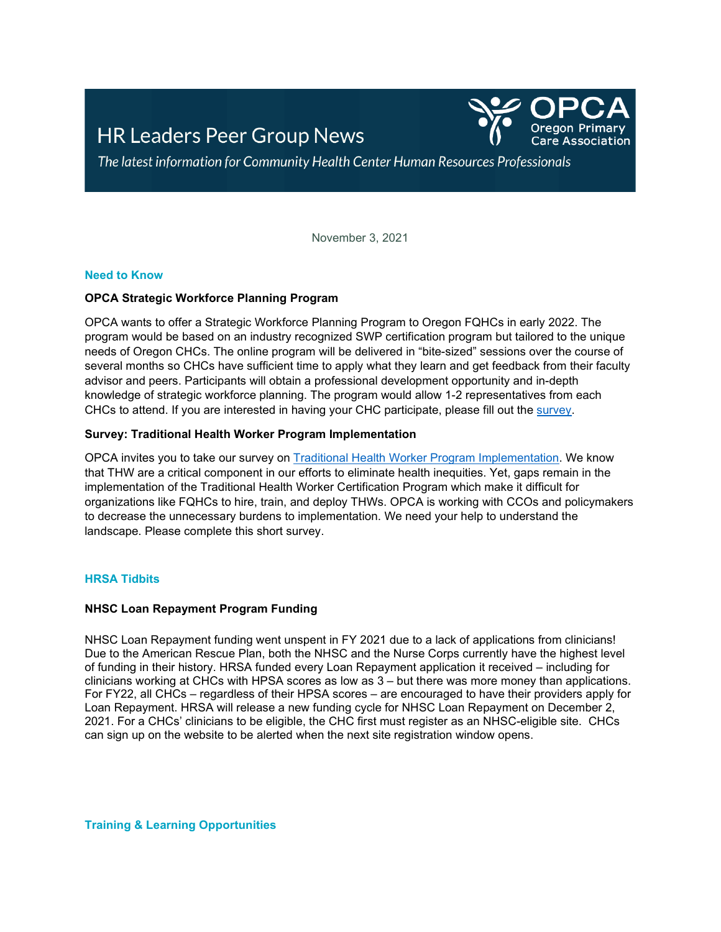# **HR Leaders Peer Group News**



The latest information for Community Health Center Human Resources Professionals

November 3, 2021

# **Need to Know**

# **OPCA Strategic Workforce Planning Program**

OPCA wants to offer a Strategic Workforce Planning Program to Oregon FQHCs in early 2022. The program would be based on an industry recognized SWP certification program but tailored to the unique needs of Oregon CHCs. The online program will be delivered in "bite-sized" sessions over the course of several months so CHCs have sufficient time to apply what they learn and get feedback from their faculty advisor and peers. Participants will obtain a professional development opportunity and in-depth knowledge of strategic workforce planning. The program would allow 1-2 representatives from each CHCs to attend. If you are interested in having your CHC participate, please fill out the [survey.](https://docs.google.com/forms/d/e/1FAIpQLSdn8myVjrB2cBtTHe96_MQedXx6lbC0__I2DF8z9WLNCXpaeQ/viewform?usp=sf_link)

#### **Survey: Traditional Health Worker Program Implementation**

OPCA invites you to take our survey on [Traditional Health Worker Program Implementation.](https://forms.office.com/pages/responsepage.aspx?id=2jvRxJh6-kaZC1_igLcly0hZZV3gPttJvXhy23DaaEhURFcyVFBGR0VaNEEyMkpEM0ZIMTNXRjgzQi4u) We know that THW are a critical component in our efforts to eliminate health inequities. Yet, gaps remain in the implementation of the Traditional Health Worker Certification Program which make it difficult for organizations like FQHCs to hire, train, and deploy THWs. OPCA is working with CCOs and policymakers to decrease the unnecessary burdens to implementation. We need your help to understand the landscape. Please complete this short survey.

#### **HRSA Tidbits**

#### **NHSC Loan Repayment Program Funding**

NHSC Loan Repayment funding went unspent in FY 2021 due to a lack of applications from clinicians! Due to the American Rescue Plan, both the NHSC and the Nurse Corps currently have the highest level of funding in their history. HRSA funded every Loan Repayment application it received – including for clinicians working at CHCs with HPSA scores as low as 3 – but there was more money than applications. For FY22, all CHCs – regardless of their HPSA scores – are encouraged to have their providers apply for Loan Repayment. HRSA will release a new funding cycle for NHSC Loan Repayment on December 2, 2021. For a CHCs' clinicians to be eligible, the CHC first must register as an NHSC-eligible site. CHCs can sign up on the website to be alerted when the next site registration window opens.